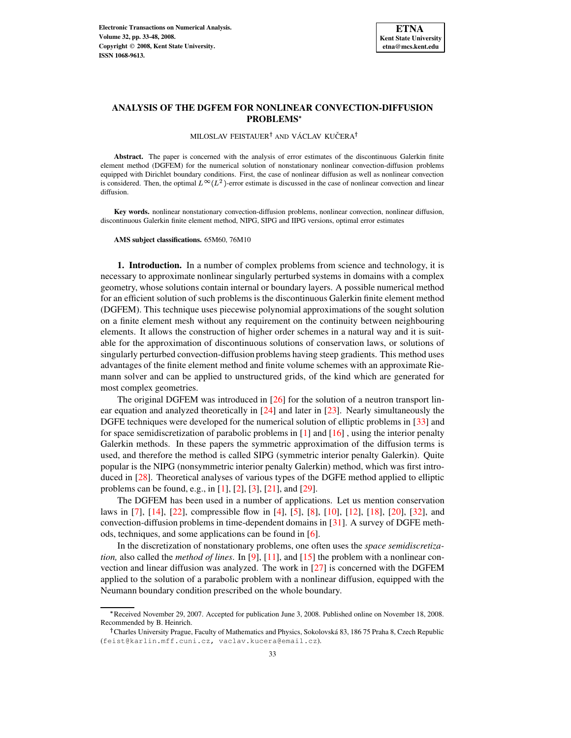# **ANALYSIS OF THE DGFEM FOR NONLINEAR CONVECTION-DIFFUSION PROBLEMS**

MILOSLAV FEISTAUER<sup>†</sup> AND VÁCLAV KUČERA<sup>†</sup>

**Abstract.** The paper is concerned with the analysis of error estimates of the discontinuous Galerkin finite element method (DGFEM) for the numerical solution of nonstationary nonlinear convection-diffusion problems equipped with Dirichlet boundary conditions. First, the case of nonlinear diffusion as well as nonlinear convection is considered. Then, the optimal  $L^{\infty}(L^2)$ -error estimate is discussed in the case of nonlinear convection and linear diffusion.

**Key words.** nonlinear nonstationary convection-diffusion problems, nonlinear convection, nonlinear diffusion, discontinuous Galerkin finite element method, NIPG, SIPG and IIPG versions, optimal error estimates

**AMS subject classifications.** 65M60, 76M10

**1. Introduction.** In a number of complex problems from science and technology, it is necessary to approximate nonlinear singularly perturbed systems in domains with a complex geometry, whose solutions contain internal or boundary layers. A possible numerical method for an efficient solution of such problems is the discontinuous Galerkin finite element method (DGFEM). This technique uses piecewise polynomial approximations of the sought solution on a finite element mesh without any requirement on the continuity between neighbouring elements. It allows the construction of higher order schemes in a natural way and it is suitable for the approximation of discontinuous solutions of conservation laws, or solutions of singularly perturbed convection-diffusion problems having steep gradients. This method uses advantages of the finite element method and finite volume schemes with an approximate Riemann solver and can be applied to unstructured grids, of the kind which are generated for most complex geometries.

The original DGFEM was introduced in [\[26\]](#page-15-0) for the solution of a neutron transport linear equation and analyzed theoretically in [\[24\]](#page-15-1) and later in [\[23\]](#page-15-2). Nearly simultaneously the DGFE techniques were developed for the numerical solution of elliptic problems in [\[33\]](#page-15-3) and for space semidiscretization of parabolic problems in [\[1\]](#page-14-0) and [\[16\]](#page-15-4) , using the interior penalty Galerkin methods. In these papers the symmetric approximation of the diffusion terms is used, and therefore the method is called SIPG (symmetric interior penalty Galerkin). Quite popular is the NIPG (nonsymmetric interior penalty Galerkin) method, which was first introduced in [\[28\]](#page-15-5). Theoretical analyses of various types of the DGFE method applied to elliptic problems can be found, e.g., in [\[1\]](#page-14-0), [\[2\]](#page-14-1), [\[3\]](#page-14-2), [\[21\]](#page-15-6), and [\[29\]](#page-15-7).

The DGFEM has been used in a number of applications. Let us mention conservation laws in [\[7\]](#page-14-3), [\[14\]](#page-15-8), [\[22\]](#page-15-9), compressible flow in [\[4\]](#page-14-4), [\[5\]](#page-14-5), [\[8\]](#page-14-6), [\[10\]](#page-15-10), [\[12\]](#page-15-11), [\[18\]](#page-15-12), [\[20\]](#page-15-13), [\[32\]](#page-15-14), and convection-diffusion problems in time-dependent domains in [\[31\]](#page-15-15). A survey of DGFE methods, techniques, and some applications can be found in [\[6\]](#page-14-7).

In the discretization of nonstationary problems, one often uses the *space semidiscretization,* also called the *method of lines*. In [\[9\]](#page-14-8), [\[11\]](#page-15-16), and [\[15\]](#page-15-17) the problem with a nonlinear convection and linear diffusion was analyzed. The work in [\[27\]](#page-15-18) is concerned with the DGFEM applied to the solution of a parabolic problem with a nonlinear diffusion, equipped with the Neumann boundary condition prescribed on the whole boundary.

 Received November 29, 2007. Accepted for publication June 3, 2008. Published online on November 18, 2008. Recommended by B. Heinrich.

<sup>&</sup>lt;sup>†</sup>Charles University Prague, Faculty of Mathematics and Physics, Sokolovská 83, 186 75 Praha 8, Czech Republic (feist@karlin.mff.cuni.cz, vaclav.kucera@email.cz).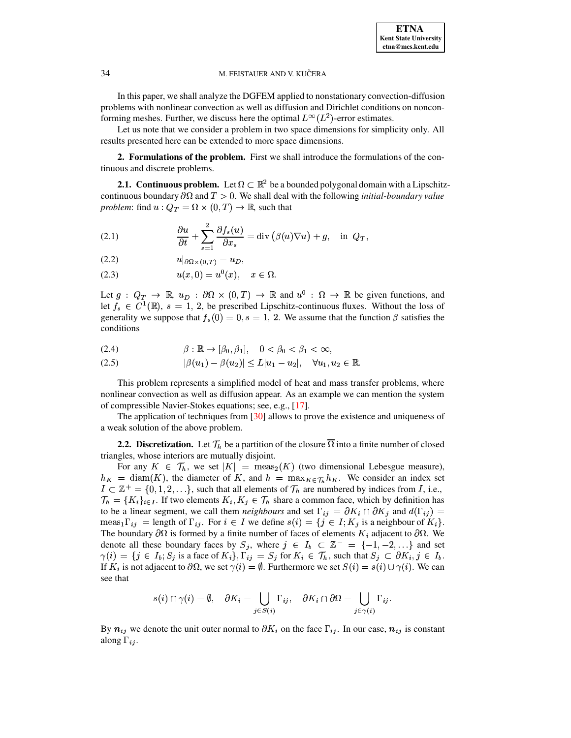In this paper, we shall analyze the DGFEM applied to nonstationary convection-diffusion problems with nonlinear convection as well as diffusion and Dirichlet conditions on nonconforming meshes. Further, we discuss here the optimal  $L^{\infty}(L^2)$ -error estimates.

Let us note that we consider a problem in two space dimensions for simplicity only. All results presented here can be extended to more space dimensions.

**2. Formulations of the problem.** First we shall introduce the formulations of the continuous and discrete problems.

**2.1. Continuous problem.** Let  $\Omega \subset \mathbb{R}^2$  be a bounded polygonal domain with a Lipschitzcontinuous boundary  $\partial\Omega$  and  $T > 0$ . We shall deal with the following *initial-boundary value problem*: find  $u: Q_T = \Omega \times (0,T) \to \mathbb{R}$ , such that

<span id="page-1-0"></span>(2.1) 
$$
\frac{\partial u}{\partial t} + \sum_{s=1}^{2} \frac{\partial f_s(u)}{\partial x_s} = \text{div} \left( \beta(u) \nabla u \right) + g, \text{ in } Q_T,
$$

- <span id="page-1-1"></span>(2.2)  $u|_{\partial \Omega \times (0,T)} = u_D,$
- (2.3)  $u(x, 0) = u^0(x), \quad x \in \Omega.$

Let  $g: Q_T \to \mathbb{R}, u_D: \partial\Omega \times (0,T) \to \mathbb{R}$  and  $u^0: \Omega \to \mathbb{R}$  be given functions, and let  $f_s \in C^1(\mathbb{R})$ ,  $s = 1, 2$ , be prescribed Lipschitz-continuous fluxes. Without the loss of generality we suppose that  $f_s(0) = 0, s = 1, 2$ . We assume that the function  $\beta$  satisfies the conditions

<span id="page-1-2"></span>
$$
(2.4) \qquad \beta: \mathbb{R} \to [\beta_0, \beta_1], \quad 0 < \beta_0 < \beta_1 < \infty,
$$

<span id="page-1-3"></span>(2.5) 
$$
|\beta(u_1) - \beta(u_2)| \le L|u_1 - u_2|, \quad \forall u_1, u_2 \in \mathbb{R}.
$$

This problem represents a simplified model of heat and mass transfer problems, where nonlinear convection as well as diffusion appear. As an example we can mention the system of compressible Navier-Stokes equations; see, e.g., [\[17\]](#page-15-19).

The application of techniques from [\[30\]](#page-15-20) allows to prove the existence and uniqueness of a weak solution of the above problem.

**2.2.** Discretization. Let  $\mathcal{T}_h$  be a partition of the closure  $\overline{\Omega}$  into a finite number of closed triangles, whose interiors are mutually disjoint.

For any  $K \in \mathcal{T}_h$ , we set  $|K| = \text{meas}_2(K)$  (two dimensional Lebesgue measure),  $h_K = \text{diam}(K)$ , the diameter of K, and  $h = \max_{K \in \mathcal{T}_h} h_K$ . We consider an index set  $I \subset \mathbb{Z}^+ = \{0, 1, 2, \ldots\}$ , such that all elements of  $\mathcal{T}_h$  are numbered by indices from I, i.e.,  $\mathcal{T}_h = \{K_i\}_{i \in I}$ . If two elements  $K_i, K_j \in \mathcal{T}_h$  share a common face, which by definition has to be a linear segment, we call them *neighbours* and set  $\Gamma_{ij} = \partial K_i \cap \partial K_j$  and  $d(\Gamma_{ij}) =$ meas<sub>1</sub> $\Gamma_{ij}$  = length of  $\Gamma_{ij}$ . For  $i \in I$  we define  $s(i) = \{j \in I; K_j \text{ is a neighbour of } K_i\}$ . The boundary  $\partial\Omega$  is formed by a finite number of faces of elements  $K_i$  adjacent to  $\partial\Omega$ . We denote all these boundary faces by  $S_j$ , where  $j \in I_b \subset \mathbb{Z}^- = \{-1, -2, ...\}$  and set  $\gamma(i) = \{j \in I_b; S_j \text{ is a face of } K_i\}$ ,  $\Gamma_{ij} = S_j$  for  $K_i \in \mathcal{T}_h$ , such that  $S_j \subset \partial K_i$ ,  $j \in I_b$ . If  $K_i$  is not adjacent to  $\partial\Omega$ , we set  $\gamma(i) = \emptyset$ . Furthermore we set  $S(i) = s(i) \cup \gamma(i)$ . We can see that

$$
s(i) \cap \gamma(i) = \emptyset, \quad \partial K_i = \bigcup_{j \in S(i)} \Gamma_{ij}, \quad \partial K_i \cap \partial \Omega = \bigcup_{j \in \gamma(i)} \Gamma_{ij}.
$$

By  $n_{ij}$  we denote the unit outer normal to  $\partial K_i$  on the face  $\Gamma_{ij}$ . In our case,  $n_{ij}$  is constant along  $\Gamma_{ij}$ .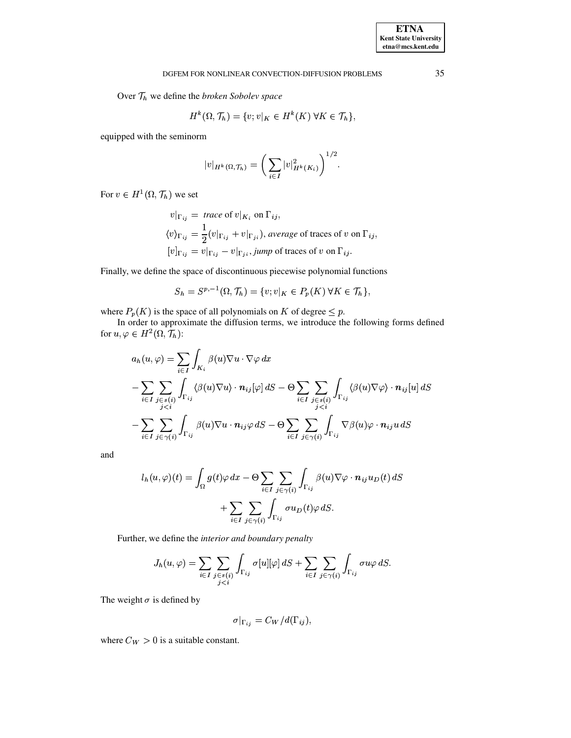Over  $\mathcal{T}_h$  we define the *broken Sobolev space* 

$$
H^k(\Omega, \mathcal{T}_h) = \{v; v|_K \in H^k(K) \,\forall K \in \mathcal{T}_h\},\
$$

equipped with the seminorm

$$
|v|_{H^k(\Omega, \mathcal{T}_h)} = \bigg(\sum_{i \in I} |v|_{H^k(K_i)}^2\bigg)^{1/2}.
$$

For  $v \in H^1(\Omega, \mathcal{T}_h)$  we set

 $v|_{\Gamma_{ij}} = \text{trace of } v|_{K_i} \text{ on } \Gamma_{ij},$  $\langle v\rangle_{\Gamma_{ij}}=\frac{1}{2}(v|_{\Gamma_{ij}}+v|_{\Gamma_{ji}}), \emph{average of traces of $v$ on $\Gamma_{ij}$},$  $[v]_{\Gamma_{ij}} = v|_{\Gamma_{ij}} - v|_{\Gamma_{ji}}$ , jump of traces of v on  $\Gamma_{ij}$ .

Finally, we define the space of discontinuous piecewise polynomial functions

$$
S_h = S^{p,-1}(\Omega, \mathcal{T}_h) = \{v; v|_K \in P_p(K) \,\forall K \in \mathcal{T}_h\},\
$$

where  $P_p(K)$  is the space of all polynomials on K of degree  $\leq p$ .

In order to approximate the diffusion terms, we introduce the following forms defined for  $u, \varphi \in H^2(\Omega, \mathcal{T}_h)$ :

$$
a_h(u, \varphi) = \sum_{i \in I} \int_{K_i} \beta(u) \nabla u \cdot \nabla \varphi \, dx
$$
  

$$
- \sum_{i \in I} \sum_{\substack{j \in s(i) \\ j < i}} \int_{\Gamma_{ij}} \langle \beta(u) \nabla u \rangle \cdot \mathbf{n}_{ij}[\varphi] \, dS - \Theta \sum_{i \in I} \sum_{\substack{j \in s(i) \\ j < i}} \int_{\Gamma_{ij}} \langle \beta(u) \nabla \varphi \rangle \cdot \mathbf{n}_{ij}[u] \, dS
$$
  

$$
- \sum_{i \in I} \sum_{j \in \gamma(i)} \int_{\Gamma_{ij}} \beta(u) \nabla u \cdot \mathbf{n}_{ij} \varphi \, dS - \Theta \sum_{i \in I} \sum_{j \in \gamma(i)} \int_{\Gamma_{ij}} \nabla \beta(u) \varphi \cdot \mathbf{n}_{ij} u \, dS
$$

and

$$
l_h(u,\varphi)(t) = \int_{\Omega} g(t)\varphi \, dx - \Theta \sum_{i \in I} \sum_{j \in \gamma(i)} \int_{\Gamma_{ij}} \beta(u)\nabla \varphi \cdot \mathbf{n}_{ij}u_D(t) \, dS
$$

$$
+ \sum_{i \in I} \sum_{j \in \gamma(i)} \int_{\Gamma_{ij}} \sigma u_D(t)\varphi \, dS.
$$

Further, we define the interior and boundary penalty

$$
J_h(u,\varphi) = \sum_{i \in I} \sum_{\substack{j \in s(i) \\ j < i}} \int_{\Gamma_{ij}} \sigma[u][\varphi] \, dS + \sum_{i \in I} \sum_{j \in \gamma(i)} \int_{\Gamma_{ij}} \sigma u \varphi \, dS.
$$

The weight  $\sigma$  is defined by

$$
\sigma|_{\Gamma_{ij}} = C_W/d(\Gamma_{ij}),
$$

where  $C_W > 0$  is a suitable constant.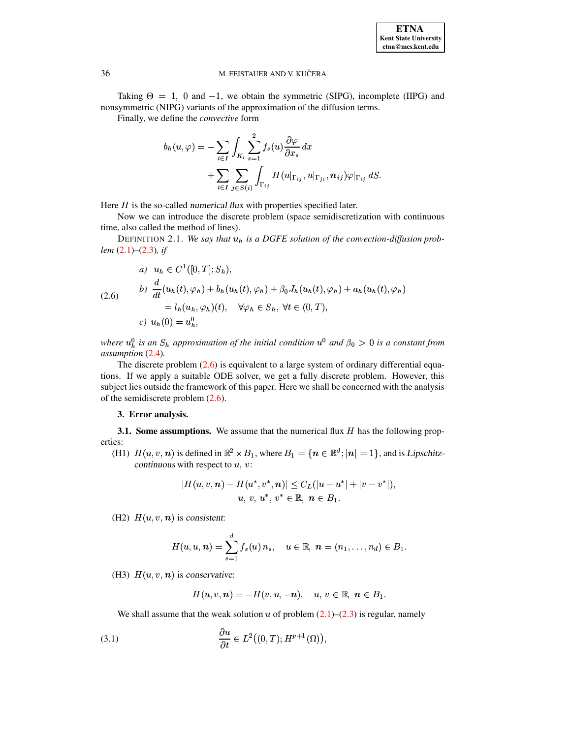Taking  $\Theta = 1$ , 0 and  $-1$ , we obtain the symmetric (SIPG), incomplete (IIPG) and nonsymmetric (NIPG) variants of the approximation of the diffusion terms.

Finally, we define the *convective* form

$$
b_h(u,\varphi) = -\sum_{i \in I} \int_{K_i} \sum_{s=1}^2 f_s(u) \frac{\partial \varphi}{\partial x_s} dx + \sum_{i \in I} \sum_{j \in S(i)} \int_{\Gamma_{ij}} H(u|_{\Gamma_{ij}}, u|_{\Gamma_{ji}}, \mathbf{n}_{ij}) \varphi|_{\Gamma_{ij}} dS.
$$

Here  $H$  is the so-called numerical flux with properties specified later.

Now we can introduce the discrete problem (space semidiscretization with continuous time, also called the method of lines).

<span id="page-3-0"></span>DEFINITION 2.1. We say that  $u_h$  is a DGFE solution of the convection-diffusion problem  $(2.1)$ – $(2.3)$ , if

$$
\begin{aligned}\na) \quad & u_h \in C^1([0, T]; S_h), \\
b) \quad & \frac{d}{dt}(u_h(t), \varphi_h) + b_h(u_h(t), \varphi_h) + \beta_0 J_h(u_h(t), \varphi_h) + a_h(u_h(t), \varphi_h) \\
& = l_h(u_h, \varphi_h)(t), \quad \forall \varphi_h \in S_h, \forall t \in (0, T), \\
c) \quad & u_h(0) = u_h^0,\n\end{aligned}
$$

where  $u_h^0$  is an  $S_h$  approximation of the initial condition  $u^0$  and  $\beta_0 > 0$  is a constant from assumption (2.4).

The discrete problem  $(2.6)$  is equivalent to a large system of ordinary differential equations. If we apply a suitable ODE solver, we get a fully discrete problem. However, this subject lies outside the framework of this paper. Here we shall be concerned with the analysis of the semidiscrete problem  $(2.6)$ .

# 3. Error analysis.

3.1. Some assumptions. We assume that the numerical flux  $H$  has the following properties:

(H1)  $H(u, v, n)$  is defined in  $\mathbb{R}^2 \times B_1$ , where  $B_1 = \{n \in \mathbb{R}^d; |n| = 1\}$ , and is Lipschitzcontinuous with respect to  $u, v$ :

$$
|H(u, v, n) - H(u^*, v^*, n)| \leq C_L(|u - u^*| + |v - v^*|),
$$
  
  $u, v, u^*, v^* \in \mathbb{R}, n \in B_1.$ 

(H2)  $H(u, v, n)$  is consistent:

$$
H(u, u, n) = \sum_{s=1}^d f_s(u) n_s, \quad u \in \mathbb{R}, n = (n_1, \ldots, n_d) \in B_1.
$$

(H3)  $H(u, v, n)$  is conservative:

<span id="page-3-1"></span> $H(u, v, n) = -H(v, u, -n), \quad u, v \in \mathbb{R}, n \in B_1.$ 

We shall assume that the weak solution u of problem  $(2.1)$ – $(2.3)$  is regular, namely

(3.1) 
$$
\frac{\partial u}{\partial t} \in L^2((0,T);H^{p+1}(\Omega)),
$$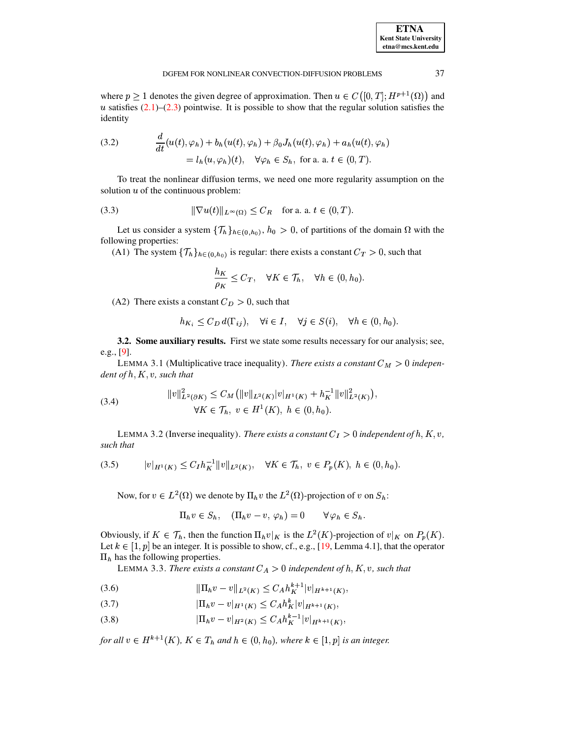| <b>ETNA</b>                  |
|------------------------------|
| <b>Kent State University</b> |
| etna@mcs.kent.edu            |

37

where  $p \ge 1$  denotes the given degree of approximation. Then  $u \in C([0, T]; H^{p+1}(\Omega))$  and u satisfies  $(2.1)$ – $(2.3)$  pointwise. It is possible to show that the regular solution satisfies the identity

<span id="page-4-5"></span>(3.2) 
$$
\frac{d}{dt}(u(t), \varphi_h) + b_h(u(t), \varphi_h) + \beta_0 J_h(u(t), \varphi_h) + a_h(u(t), \varphi_h)
$$

$$
= l_h(u, \varphi_h)(t), \quad \forall \varphi_h \in S_h, \text{ for a. a. } t \in (0, T).
$$

<span id="page-4-4"></span>To treat the nonlinear diffusion terms, we need one more regularity assumption on the solution  $u$  of the continuous problem:

(3.3) 
$$
\|\nabla u(t)\|_{L^{\infty}(\Omega)} \leq C_R \quad \text{for a. a. } t \in (0, T).
$$

Let us consider a system  $\{\mathcal{T}_h\}_{h \in (0,h_0)}$ ,  $h_0 > 0$ , of partitions of the domain  $\Omega$  with the following properties:

(A1) The system  $\{\mathcal{T}_h\}_{h \in (0, h_0)}$  is regular: there exists a constant  $C_T > 0$ , such that

$$
\frac{h_K}{\rho_K} \leq C_T, \quad \forall K \in \mathcal{T}_h, \quad \forall h \in (0, h_0).
$$

(A2) There exists a constant  $C_D > 0$ , such that

$$
h_{K_i} \le C_D d(\Gamma_{ij}), \quad \forall i \in I, \quad \forall j \in S(i), \quad \forall h \in (0, h_0).
$$

<span id="page-4-2"></span>3.2. Some auxiliary results. First we state some results necessary for our analysis; see, e.g.,  $[9]$ .

<span id="page-4-0"></span>LEMMA 3.1 (Multiplicative trace inequality). There exists a constant  $C_M > 0$  independent of  $h, K, v$ , such that

(3.4) 
$$
||v||_{L^{2}(\partial K)}^{2} \leq C_{M} (||v||_{L^{2}(K)}|v|_{H^{1}(K)} + h_{K}^{-1}||v||_{L^{2}(K)}^{2})
$$

$$
\forall K \in \mathcal{T}_{h}, v \in H^{1}(K), h \in (0, h_{0}).
$$

<span id="page-4-3"></span>LEMMA 3.2 (Inverse inequality). There exists a constant  $C_I > 0$  independent of h, K, v, such that

$$
(3.5) \t\t |v|_{H^1(K)} \le C_I h_K^{-1} \|v\|_{L^2(K)}, \quad \forall K \in \mathcal{T}_h, \ v \in P_p(K), \ h \in (0, h_0).
$$

Now, for  $v \in L^2(\Omega)$  we denote by  $\Pi_h v$  the  $L^2(\Omega)$ -projection of v on  $S_h$ :

$$
\Pi_h v \in S_h, \quad (\Pi_h v - v, \varphi_h) = 0 \qquad \forall \varphi_h \in S_h.
$$

Obviously, if  $K \in \mathcal{T}_h$ , then the function  $\Pi_h v|_K$  is the  $L^2(K)$ -projection of  $v|_K$  on  $P_p(K)$ . Let  $k \in [1, p]$  be an integer. It is possible to show, cf., e.g., [19, Lemma 4.1], that the operator  $\Pi_h$  has the following properties.

LEMMA 3.3. There exists a constant  $C_A > 0$  independent of h, K, v, such that

$$
(3.6) \t\t\t ||\Pi_h v - v||_{L^2(K)} \le C_A h_K^{k+1} |v|_{H^{k+1}(K)},
$$

$$
(3.7) \t\t |\Pi_h v - v|_{H^1(K)} \le C_A h_K^k |v|_{H^{k+1}(K)},
$$

<span id="page-4-1"></span> $|\Pi_h v - v|_{H^2(K)} \leq C_A h_K^{k-1} |v|_{H^{k+1}(K)},$  $(3.8)$ 

for all  $v \in H^{k+1}(K)$ ,  $K \in T_h$  and  $h \in (0, h_0)$ , where  $k \in [1, p]$  is an integer.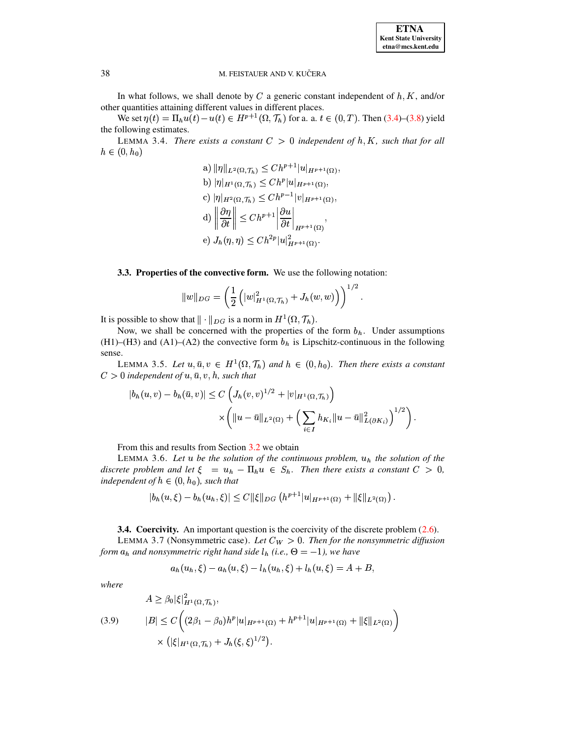

In what follows, we shall denote by  $C$  a generic constant independent of  $h, K$ , and/or other quantities attaining different values in different places.

We set  $\eta(t) = \Pi_h u(t) - u(t) \in H^{p+1}(\Omega, \mathcal{T}_h)$  for a. a.  $t \in (0, T)$ . Then (3.4)–(3.8) yield the following estimates.

<span id="page-5-1"></span>LEMMA 3.4. There exists a constant  $C > 0$  independent of h, K, such that for all  $h \in (0, h_0)$ 

a) 
$$
\|\eta\|_{L^2(\Omega, \mathcal{T}_h)} \leq C h^{p+1} |u|_{H^{p+1}(\Omega)},
$$
  
\nb)  $|\eta|_{H^1(\Omega, \mathcal{T}_h)} \leq C h^p |u|_{H^{p+1}(\Omega)},$   
\nc)  $|\eta|_{H^2(\Omega, \mathcal{T}_h)} \leq C h^{p-1} |v|_{H^{p+1}(\Omega)},$   
\nd)  $\left\|\frac{\partial \eta}{\partial t}\right\| \leq C h^{p+1} \left|\frac{\partial u}{\partial t}\right|_{H^{p+1}(\Omega)},$   
\ne)  $J_h(\eta, \eta) \leq C h^{2p} |u|_{H^{p+1}(\Omega)}^2.$ 

3.3. Properties of the convective form. We use the following notation:

$$
||w||_{DG} = \left(\frac{1}{2} \left( |w|_{H^1(\Omega,\mathcal{T}_h)}^2 + J_h(w,w) \right) \right)^{1/2}.
$$

It is possible to show that  $\|\cdot\|_{DG}$  is a norm in  $H^1(\Omega, \mathcal{T}_h)$ .

Now, we shall be concerned with the properties of the form  $b<sub>h</sub>$ . Under assumptions (H1)–(H3) and (A1)–(A2) the convective form  $b<sub>h</sub>$  is Lipschitz-continuous in the following sense.

LEMMA 3.5. Let  $u, \bar{u}, v \in H^1(\Omega, \mathcal{T}_h)$  and  $h \in (0, h_0)$ . Then there exists a constant  $C>0$  independent of  $u, \bar{u}, v, h$ , such that

$$
|b_h(u,v) - b_h(\bar{u},v)| \le C \left( J_h(v,v)^{1/2} + |v|_{H^1(\Omega, \mathcal{T}_h)} \right) \times \left( ||u - \bar{u}||_{L^2(\Omega)} + \left( \sum_{i \in I} h_{K_i} ||u - \bar{u}||_{L(\partial K_i)}^2 \right)^{1/2} \right).
$$

From this and results from Section 3.2 we obtain

LEMMA 3.6. Let u be the solution of the continuous problem,  $u_h$  the solution of the discrete problem and let  $\xi = u_h - \Pi_h u \in S_h$ . Then there exists a constant  $C > 0$ , independent of  $h \in (0, h_0)$ , such that

<span id="page-5-3"></span>
$$
|b_h(u,\xi)-b_h(u_h,\xi)|\leq C\|\xi\|_{DG}\left(h^{p+1}|u|_{H^{p+1}(\Omega)}+\|\xi\|_{L^2(\Omega)}\right).
$$

**3.4. Coercivity.** An important question is the coercivity of the discrete problem  $(2.6)$ .

<span id="page-5-2"></span>LEMMA 3.7 (Nonsymmetric case). Let  $C_W > 0$ . Then for the nonsymmetric diffusion form  $a_h$  and nonsymmetric right hand side  $l_h$  (i.e.,  $\Theta = -1$ ), we have

$$
a_h(u_h, \xi) - a_h(u, \xi) - l_h(u_h, \xi) + l_h(u, \xi) = A + B,
$$

<span id="page-5-0"></span>where

$$
A \geq \beta_0 |\xi|_{H^1(\Omega, \mathcal{T}_h)}^2,
$$
  
(3.9) 
$$
|B| \leq C \bigg( (2\beta_1 - \beta_0) h^p |u|_{H^{p+1}(\Omega)} + h^{p+1} |u|_{H^{p+1}(\Omega)} + ||\xi||_{L^2(\Omega)} \bigg) \times (|\xi|_{H^1(\Omega, \mathcal{T}_h)} + J_h(\xi, \xi)^{1/2}).
$$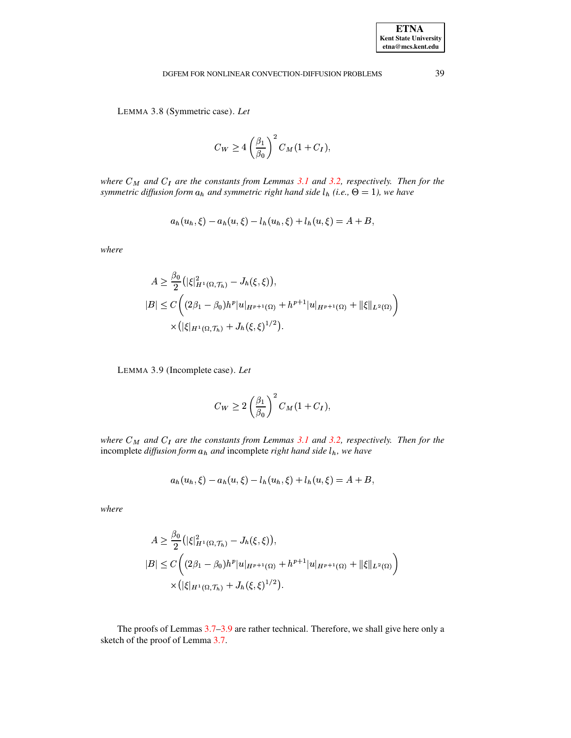LEMMA 3.8 (Symmetric case). Let

$$
C_W \ge 4\left(\frac{\beta_1}{\beta_0}\right)^2 C_M(1+C_I),
$$

where  $C_M$  and  $C_I$  are the constants from Lemmas 3.1 and 3.2, respectively. Then for the symmetric diffusion form  $a_h$  and symmetric right hand side  $l_h$  (i.e.,  $\Theta = 1$ ), we have

$$
a_h(u_h, \xi) - a_h(u, \xi) - l_h(u_h, \xi) + l_h(u, \xi) = A + B,
$$

where

$$
A \geq \frac{\beta_0}{2} (|\xi|_{H^1(\Omega, \mathcal{T}_h)}^2 - J_h(\xi, \xi)),
$$
  
\n
$$
|B| \leq C \left( (2\beta_1 - \beta_0) h^p |u|_{H^{p+1}(\Omega)} + h^{p+1} |u|_{H^{p+1}(\Omega)} + ||\xi||_{L^2(\Omega)} \right)
$$
  
\n
$$
\times (|\xi|_{H^1(\Omega, \mathcal{T}_h)} + J_h(\xi, \xi)^{1/2}).
$$

LEMMA 3.9 (Incomplete case). Let

$$
C_W \ge 2\left(\frac{\beta_1}{\beta_0}\right)^2 C_M(1+C_I),
$$

where  $C_M$  and  $C_I$  are the constants from Lemmas 3.1 and 3.2, respectively. Then for the incomplete diffusion form  $a_h$  and incomplete right hand side  $l_h$ , we have

$$
a_h(u_h, \xi) - a_h(u, \xi) - l_h(u_h, \xi) + l_h(u, \xi) = A + B,
$$

where

$$
A \geq \frac{\beta_0}{2} \left( |\xi|_{H^1(\Omega, \mathcal{T}_h)}^2 - J_h(\xi, \xi) \right),
$$
  
\n
$$
|B| \leq C \left( (2\beta_1 - \beta_0) h^p |u|_{H^{p+1}(\Omega)} + h^{p+1} |u|_{H^{p+1}(\Omega)} + ||\xi||_{L^2(\Omega)} \right)
$$
  
\n
$$
\times \left( |\xi|_{H^1(\Omega, \mathcal{T}_h)} + J_h(\xi, \xi)^{1/2} \right).
$$

The proofs of Lemmas 3.7–3.9 are rather technical. Therefore, we shall give here only a sketch of the proof of Lemma 3.7.

39

**ETNA Kent State University**  $etna@mcs. kent.edu$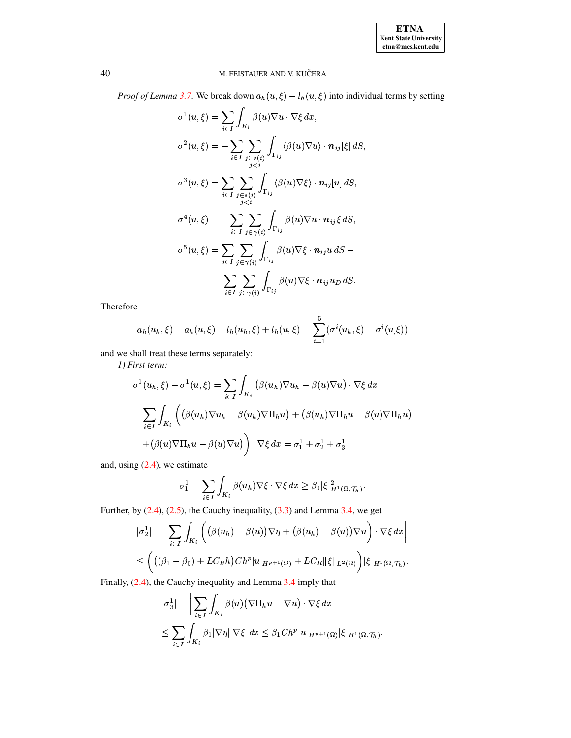*Proof of Lemma 3.7.* We break down  $a_h(u, \xi) - l_h(u, \xi)$  into individual terms by setting

$$
\sigma^1(u,\xi) = \sum_{i\in I} \int_{K_i} \beta(u)\nabla u \cdot \nabla \xi \, dx,
$$
  

$$
\sigma^2(u,\xi) = -\sum_{i\in I} \sum_{\substack{j\in s(i) \\ j  

$$
\sigma^3(u,\xi) = \sum_{i\in I} \sum_{\substack{j\in s(i) \\ j  

$$
\sigma^4(u,\xi) = -\sum_{i\in I} \sum_{j\in \gamma(i)} \int_{\Gamma_{ij}} \beta(u)\nabla u \cdot \mathbf{n}_{ij}\xi \, dS,
$$
  

$$
\sigma^5(u,\xi) = \sum_{i\in I} \sum_{j\in \gamma(i)} \int_{\Gamma_{ij}} \beta(u)\nabla \xi \cdot \mathbf{n}_{ij}u \, dS -
$$
  

$$
-\sum_{i\in I} \sum_{j\in \gamma(i)} \int_{\Gamma_{ij}} \beta(u)\nabla \xi \cdot \mathbf{n}_{ij}u_D \, dS.
$$
$$
$$

Therefore

$$
a_h(u_h, \xi) - a_h(u, \xi) - l_h(u_h, \xi) + l_h(u, \xi) = \sum_{i=1}^{5} (\sigma^i(u_h, \xi) - \sigma^i(u, \xi))
$$

and we shall treat these terms separately:

1) First term:

$$
\sigma^1(u_h, \xi) - \sigma^1(u, \xi) = \sum_{i \in I} \int_{K_i} (\beta(u_h) \nabla u_h - \beta(u) \nabla u) \cdot \nabla \xi \, dx
$$

$$
= \sum_{i \in I} \int_{K_i} ((\beta(u_h) \nabla u_h - \beta(u_h) \nabla \Pi_h u) + (\beta(u_h) \nabla \Pi_h u - \beta(u) \nabla \Pi_h u)
$$

$$
+ (\beta(u) \nabla \Pi_h u - \beta(u) \nabla u) \bigg) \cdot \nabla \xi \, dx = \sigma_1^1 + \sigma_2^1 + \sigma_3^1
$$

and, using  $(2.4)$ , we estimate

$$
\sigma_1^1 = \sum_{i \in I} \int_{K_i} \beta(u_h) \nabla \xi \cdot \nabla \xi \, dx \geq \beta_0 |\xi|_{H^1(\Omega, \mathcal{T}_h)}^2.
$$

Further, by  $(2.4)$ ,  $(2.5)$ , the Cauchy inequality,  $(3.3)$  and Lemma 3.4, we get

$$
|\sigma_2^1| = \left| \sum_{i \in I} \int_{K_i} \left( \left( \beta(u_h) - \beta(u) \right) \nabla \eta + \left( \beta(u_h) - \beta(u) \right) \nabla u \right) \cdot \nabla \xi \, dx \right|
$$
  

$$
\leq \left( \left( \left( \beta_1 - \beta_0 \right) + LC_R h \right) C h^p |u|_{H^{p+1}(\Omega)} + LC_R ||\xi||_{L^2(\Omega)} \right) |\xi|_{H^1(\Omega, \mathcal{T}_h)}.
$$

Finally, (2.4), the Cauchy inequality and Lemma 3.4 imply that

$$
|\sigma_3^1| = \left| \sum_{i \in I} \int_{K_i} \beta(u) (\nabla \Pi_h u - \nabla u) \cdot \nabla \xi \, dx \right|
$$
  

$$
\leq \sum_{i \in I} \int_{K_i} \beta_1 |\nabla \eta| |\nabla \xi| \, dx \leq \beta_1 C h^p |u|_{H^{p+1}(\Omega)} |\xi|_{H^1(\Omega, \mathcal{T}_h)}
$$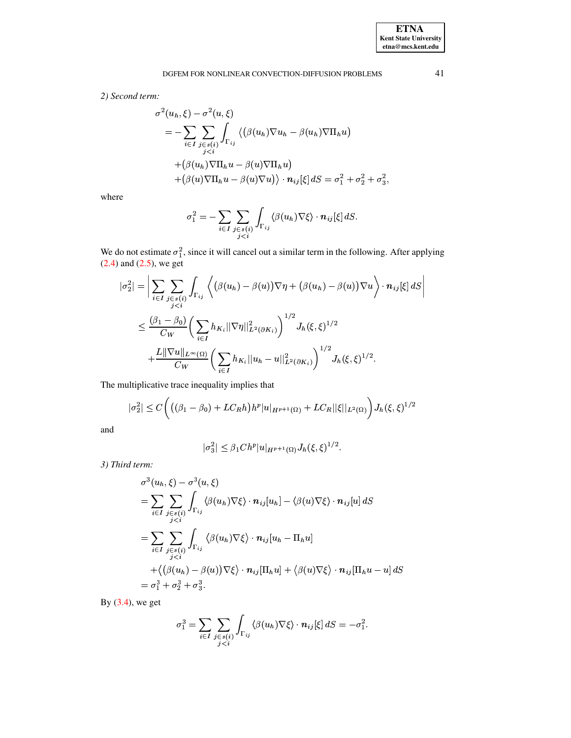# DGFEM FOR NONLINEAR CONVECTION-DIFFUSION PROBLEMS

2) Second term:

$$
\sigma^{2}(u_{h}, \xi) - \sigma^{2}(u, \xi)
$$
\n
$$
= - \sum_{i \in I} \sum_{\substack{j \in s(i) \\ j < i}} \int_{\Gamma_{ij}} \left\langle (\beta(u_{h}) \nabla u_{h} - \beta(u_{h}) \nabla \Pi_{h} u) \right\rangle
$$
\n
$$
+ (\beta(u_{h}) \nabla \Pi_{h} u - \beta(u) \nabla \Pi_{h} u)
$$
\n
$$
+ (\beta(u) \nabla \Pi_{h} u - \beta(u) \nabla u) \right\rangle \cdot \mathbf{n}_{ij}[\xi] dS = \sigma_{1}^{2} + \sigma_{2}^{2} + \sigma_{3}^{2},
$$

where

$$
\sigma_1^2 = -\sum_{i \in I} \sum_{\substack{j \in s(i) \\ j < i}} \int_{\Gamma_{ij}} \langle \beta(u_h) \nabla \xi \rangle \cdot \mathbf{n}_{ij}[\xi] \, dS.
$$

We do not estimate  $\sigma_1^2$ , since it will cancel out a similar term in the following. After applying (2.4) and (2.5), we get

$$
|\sigma_2^2| = \Big| \sum_{i \in I} \sum_{\substack{j \in s(i) \\ j < i}} \int_{\Gamma_{ij}} \Big\langle \big(\beta(u_h) - \beta(u)\big) \nabla \eta + \big(\beta(u_h) - \beta(u)\big) \nabla u \Big\rangle \cdot \mathbf{n}_{ij}[\xi] \, dS \Big|
$$
  

$$
\leq \frac{(\beta_1 - \beta_0)}{C_W} \Bigg( \sum_{i \in I} h_{K_i} ||\nabla \eta||_{L^2(\partial K_i)}^2 \Bigg)^{1/2} J_h(\xi, \xi)^{1/2}
$$
  

$$
+ \frac{L ||\nabla u||_{L^{\infty}(\Omega)}}{C_W} \Bigg( \sum_{i \in I} h_{K_i} ||u_h - u||_{L^2(\partial K_i)}^2 \Bigg)^{1/2} J_h(\xi, \xi)^{1/2}.
$$

The multiplicative trace inequality implies that

$$
|\sigma_2^2| \le C \Big( \big( (\beta_1 - \beta_0) + LC_R h \big) h^p |u|_{H^{p+1}(\Omega)} + LC_R ||\xi||_{L^2(\Omega)} \Big) J_h(\xi, \xi)^{1/2}
$$

and

$$
|\sigma_3^2| \leq \beta_1 Ch^p |u|_{H^{p+1}(\Omega)} J_h(\xi, \xi)^{1/2}.
$$

3) Third term:

$$
\sigma^{3}(u_{h}, \xi) - \sigma^{3}(u, \xi)
$$
\n
$$
= \sum_{i \in I} \sum_{\substack{j \in s(i) \\ j < i}} \int_{\Gamma_{ij}} \langle \beta(u_{h}) \nabla \xi \rangle \cdot \mathbf{n}_{ij}[u_{h}] - \langle \beta(u) \nabla \xi \rangle \cdot \mathbf{n}_{ij}[u] dS
$$
\n
$$
= \sum_{i \in I} \sum_{\substack{j \in s(i) \\ j < i}} \int_{\Gamma_{ij}} \langle \beta(u_{h}) \nabla \xi \rangle \cdot \mathbf{n}_{ij}[u_{h} - \Pi_{h}u]
$$
\n
$$
+ \langle (\beta(u_{h}) - \beta(u)) \nabla \xi \rangle \cdot \mathbf{n}_{ij}[\Pi_{h}u] + \langle \beta(u) \nabla \xi \rangle \cdot \mathbf{n}_{ij}[\Pi_{h}u - u] dS
$$
\n
$$
= \sigma_{1}^{3} + \sigma_{2}^{3} + \sigma_{3}^{3}.
$$

By  $(3.4)$ , we get

$$
\sigma_1^3 = \sum_{i \in I} \sum_{\substack{j \in s(i) \\ j < i}} \int_{\Gamma_{ij}} \langle \beta(u_h) \nabla \xi \rangle \cdot \mathbf{n}_{ij}[\xi] \, dS = -\sigma_1^2.
$$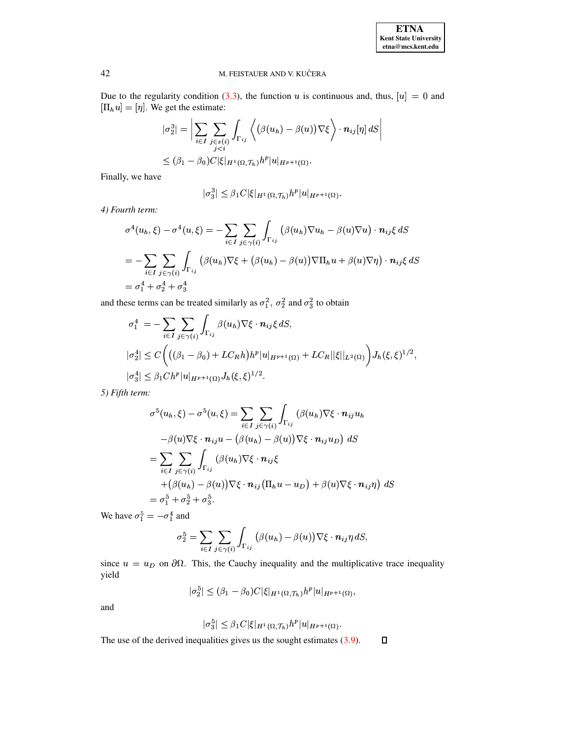Due to the regularity condition (3.3), the function u is continuous and, thus,  $[u] = 0$  and  $[\Pi_h u] = [\eta]$ . We get the estimate:

$$
|\sigma_2^3| = \bigg|\sum_{i \in I} \sum_{\substack{j \in s(i) \\ j < i}} \int_{\Gamma_{ij}} \bigg\langle \big(\beta(u_h) - \beta(u)\big) \nabla \xi \bigg\rangle \cdot n_{ij}[\eta] \, dS \bigg|
$$
  
\$\leq (\beta\_1 - \beta\_0) C |\xi|\_{H^1(\Omega, \mathcal{T}\_h)} h^p |u|\_{H^{p+1}(\Omega)}.

Finally, we have

$$
|\sigma_3^3| \leq \beta_1 C |\xi|_{H^1(\Omega, \mathcal{T}_h)} h^p |u|_{H^{p+1}(\Omega)}.
$$

4) Fourth term:

$$
\sigma^4(u_h, \xi) - \sigma^4(u, \xi) = -\sum_{i \in I} \sum_{j \in \gamma(i)} \int_{\Gamma_{ij}} (\beta(u_h) \nabla u_h - \beta(u) \nabla u) \cdot \mathbf{n}_{ij} \xi \, dS
$$
  
= 
$$
-\sum_{i \in I} \sum_{j \in \gamma(i)} \int_{\Gamma_{ij}} (\beta(u_h) \nabla \xi + (\beta(u_h) - \beta(u)) \nabla \Pi_h u + \beta(u) \nabla \eta) \cdot \mathbf{n}_{ij} \xi \, dS
$$
  
= 
$$
\sigma_1^4 + \sigma_2^4 + \sigma_3^4
$$

and these terms can be treated similarly as  $\sigma_1^2, \sigma_2^2$  and  $\sigma_3^2$  to obtain

$$
\sigma_1^4 = -\sum_{i \in I} \sum_{j \in \gamma(i)} \int_{\Gamma_{ij}} \beta(u_h) \nabla \xi \cdot \mathbf{n}_{ij} \xi \, dS,
$$
  
\n
$$
|\sigma_2^4| \le C \Biggl( \bigl( (\beta_1 - \beta_0) + LC_R h \bigr) h^p |u|_{H^{p+1}(\Omega)} + LC_R ||\xi||_{L^2(\Omega)} \Biggr) J_h(\xi, \xi)^{1/2},
$$
  
\n
$$
|\sigma_3^4| \le \beta_1 Ch^p |u|_{H^{p+1}(\Omega)} J_h(\xi, \xi)^{1/2}.
$$

5) Fifth term:

$$
\sigma^{5}(u_{h}, \xi) - \sigma^{5}(u, \xi) = \sum_{i \in I} \sum_{j \in \gamma(i)} \int_{\Gamma_{ij}} (\beta(u_{h}) \nabla \xi \cdot \mathbf{n}_{ij} u_{h}
$$
  
\n
$$
- \beta(u) \nabla \xi \cdot \mathbf{n}_{ij} u - (\beta(u_{h}) - \beta(u)) \nabla \xi \cdot \mathbf{n}_{ij} u_{D}) dS
$$
  
\n
$$
= \sum_{i \in I} \sum_{j \in \gamma(i)} \int_{\Gamma_{ij}} (\beta(u_{h}) \nabla \xi \cdot \mathbf{n}_{ij} \xi + (\beta(u_{h}) - \beta(u)) \nabla \xi \cdot \mathbf{n}_{ij} \xi + (\beta(u_{h}) - \beta(u)) \nabla \xi \cdot \mathbf{n}_{ij} (\Pi_{h} u - u_{D}) + \beta(u) \nabla \xi \cdot \mathbf{n}_{ij} \eta) dS
$$
  
\n
$$
= \sigma_{1}^{5} + \sigma_{2}^{5} + \sigma_{3}^{5}.
$$

We have  $\sigma_1^5=-\sigma_1^4$  and

$$
\sigma_2^5 = \sum_{i \in I} \sum_{j \in \gamma(i)} \int_{\Gamma_{ij}} (\beta(u_h) - \beta(u)) \nabla \xi \cdot \mathbf{n}_{ij} \eta \, dS,
$$

since  $u = u_D$  on  $\partial\Omega$ . This, the Cauchy inequality and the multiplicative trace inequality yield

 $|\sigma_2^5| \leq (\beta_1 - \beta_0)C|\xi|_{H^1(\Omega, \mathcal{T}_h)} h^p |u|_{H^{p+1}(\Omega)},$ 

and

$$
|\sigma_3^5| \leq \beta_1 C |\xi|_{H^1(\Omega,\mathcal{T}_h)} h^p |u|_{H^{p+1}(\Omega)}.
$$

The use of the derived inequalities gives us the sought estimates  $(3.9)$ .  $\Box$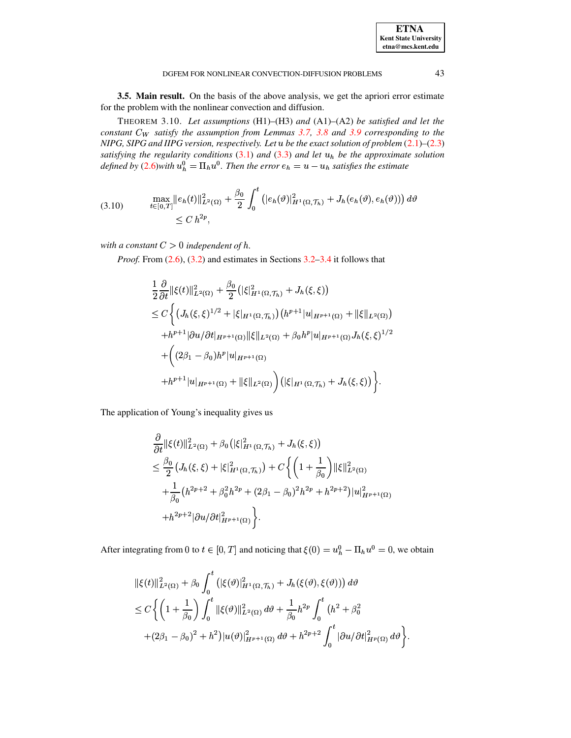<span id="page-10-0"></span>

**3.5. Main result.** On the basis of the above analysis, we get the apriori error estimate for the problem with the nonlinear convection and diffusion.

THEOREM 3.10. Let assumptions (H1)-(H3) and (A1)-(A2) be satisfied and let the constant  $C_W$  satisfy the assumption from Lemmas 3.7, 3.8 and 3.9 corresponding to the NIPG, SIPG and IIPG version, respectively. Let  $u$  be the exact solution of problem  $(2.1)$ – $(2.3)$ satisfying the regularity conditions  $(3.1)$  and  $(3.3)$  and let  $u<sub>h</sub>$  be the approximate solution defined by (2.6)with  $u_h^0 = \Pi_h u^0$ . Then the error  $e_h = u - u_h$  satisfies the estimate

$$
(3.10) \quad \max_{t \in [0,T]} \|e_h(t)\|_{L^2(\Omega)}^2 + \frac{\beta_0}{2} \int_0^t \left( |e_h(\vartheta)|_{H^1(\Omega, \mathcal{T}_h)}^2 + J_h(e_h(\vartheta), e_h(\vartheta)) \right) d\vartheta \n\leq C h^{2p},
$$

with a constant  $C > 0$  independent of h.

*Proof.* From  $(2.6)$ ,  $(3.2)$  and estimates in Sections  $3.2-3.4$  it follows that

$$
\frac{1}{2} \frac{\partial}{\partial t} ||\xi(t)||_{L^{2}(\Omega)}^{2} + \frac{\beta_{0}}{2} (|\xi|_{H^{1}(\Omega,\mathcal{T}_{h})}^{2} + J_{h}(\xi,\xi))
$$
\n
$$
\leq C \Biggl\{ \left( J_{h}(\xi,\xi)^{1/2} + |\xi|_{H^{1}(\Omega,\mathcal{T}_{h})} \right) \left( h^{p+1} |u|_{H^{p+1}(\Omega)} + ||\xi||_{L^{2}(\Omega)} \right) \right. \\ \left. + h^{p+1} |\partial u/\partial t|_{H^{p+1}(\Omega)} ||\xi||_{L^{2}(\Omega)} + \beta_{0} h^{p} |u|_{H^{p+1}(\Omega)} J_{h}(\xi,\xi)^{1/2} \right. \\ \left. + \left( (2\beta_{1} - \beta_{0}) h^{p} |u|_{H^{p+1}(\Omega)} \right. \\ \left. + h^{p+1} |u|_{H^{p+1}(\Omega)} + ||\xi||_{L^{2}(\Omega)} \right) \left( |\xi|_{H^{1}(\Omega,\mathcal{T}_{h})} + J_{h}(\xi,\xi) \right) \Biggr\}.
$$

The application of Young's inequality gives us

$$
\frac{\partial}{\partial t} ||\xi(t)||_{L^{2}(\Omega)}^{2} + \beta_{0} (|\xi|_{H^{1}(\Omega, \mathcal{T}_{h})}^{2} + J_{h}(\xi, \xi))
$$
\n
$$
\leq \frac{\beta_{0}}{2} \left( J_{h}(\xi, \xi) + |\xi|_{H^{1}(\Omega, \mathcal{T}_{h})}^{2} \right) + C \left\{ \left( 1 + \frac{1}{\beta_{0}} \right) ||\xi||_{L^{2}(\Omega)}^{2}
$$
\n
$$
+ \frac{1}{\beta_{0}} \left( h^{2p+2} + \beta_{0}^{2} h^{2p} + (2\beta_{1} - \beta_{0})^{2} h^{2p} + h^{2p+2} \right) |u|_{H^{p+1}(\Omega)}^{2}
$$
\n
$$
+ h^{2p+2} |\partial u/\partial t|_{H^{p+1}(\Omega)}^{2} \right\}.
$$

After integrating from 0 to  $t \in [0, T]$  and noticing that  $\xi(0) = u_h^0 - \Pi_h u^0 = 0$ , we obtain

$$
\begin{split} &\|\xi(t)\|_{L^{2}(\Omega)}^{2}+\beta_{0}\int_{0}^{t}\left(|\xi(\vartheta)|_{H^{1}(\Omega,\mathcal{T}_{h})}^{2}+J_{h}(\xi(\vartheta),\xi(\vartheta))\right)d\vartheta\\ &\leq C\bigg\{\left(1+\frac{1}{\beta_{0}}\right)\int_{0}^{t}\|\xi(\vartheta)\|_{L^{2}(\Omega)}^{2}\,d\vartheta+\frac{1}{\beta_{0}}h^{2p}\int_{0}^{t}\left(h^{2}+\beta_{0}^{2}\right.\\ &\left.+(2\beta_{1}-\beta_{0})^{2}+h^{2}\right)|u(\vartheta)|_{H^{p+1}(\Omega)}^{2}\,d\vartheta+h^{2p+2}\int_{0}^{t}\left|\partial u/\partial t\right|_{H^{p}(\Omega)}^{2}\,d\vartheta\bigg\}.\end{split}
$$

**ETNA Kent State University**  $etna@mcs. kent.edu$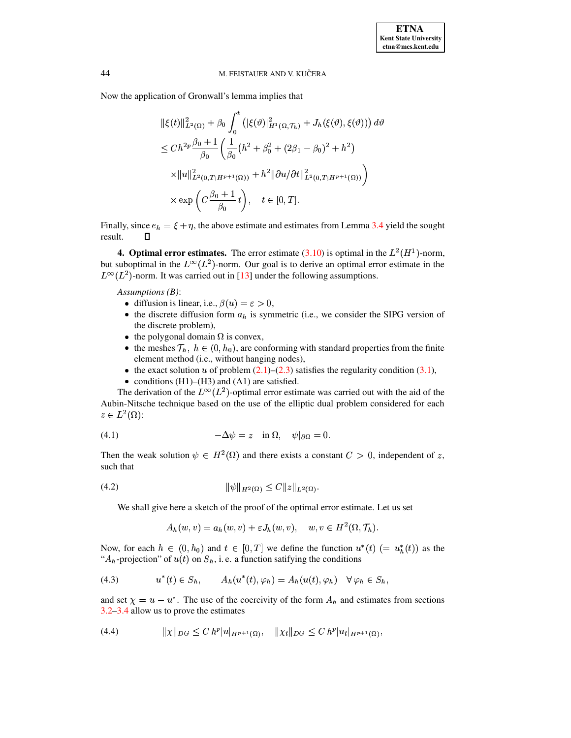Now the application of Gronwall's lemma implies that

$$
\begin{split} &\|\xi(t)\|_{L^{2}(\Omega)}^{2}+\beta_{0}\int_{0}^{t}\left(|\xi(\vartheta)|_{H^{1}(\Omega,\mathcal{T}_{h})}^{2}+J_{h}(\xi(\vartheta),\xi(\vartheta))\right)d\vartheta\\ &\leq Ch^{2p}\frac{\beta_{0}+1}{\beta_{0}}\left(\frac{1}{\beta_{0}}\left(h^{2}+\beta_{0}^{2}+(2\beta_{1}-\beta_{0})^{2}+h^{2}\right)\right.\\ &\left.\times\|u\|_{L^{2}(0,T;H^{p+1}(\Omega))}^{2}+h^{2}\|\partial u/\partial t\|_{L^{2}(0,T;H^{p+1}(\Omega))}^{2}\right)\\ &\times\exp\left(C\frac{\beta_{0}+1}{\beta_{0}}t\right),\quad t\in[0,T]. \end{split}
$$

Finally, since  $e_h = \xi + \eta$ , the above estimate and estimates from Lemma 3.4 yield the sought result.  $\Box$ 

**4. Optimal error estimates.** The error estimate (3.10) is optimal in the  $L^2(H^1)$ -norm, but suboptimal in the  $L^{\infty}(L^2)$ -norm. Our goal is to derive an optimal error estimate in the  $L^{\infty}(L^2)$ -norm. It was carried out in [13] under the following assumptions.

Assumptions  $(B)$ :

- diffusion is linear, i.e.,  $\beta(u) = \varepsilon > 0$ ,
- the discrete diffusion form  $a_h$  is symmetric (i.e., we consider the SIPG version of the discrete problem),
- the polygonal domain  $\Omega$  is convex,
- the meshes  $\mathcal{T}_h$ ,  $h \in (0, h_0)$ , are conforming with standard properties from the finite element method (i.e., without hanging nodes),
- the exact solution u of problem  $(2.1)$ – $(2.3)$  satisfies the regularity condition  $(3.1)$ ,
- conditions  $(H1)$ – $(H3)$  and  $(A1)$  are satisfied.

The derivation of the  $L^{\infty}(L^2)$ -optimal error estimate was carried out with the aid of the Aubin-Nitsche technique based on the use of the elliptic dual problem considered for each  $z\in L^2(\Omega)$ :

<span id="page-11-0"></span>(4.1) 
$$
-\Delta \psi = z \quad \text{in } \Omega, \quad \psi|_{\partial \Omega} = 0.
$$

<span id="page-11-1"></span>Then the weak solution  $\psi \in H^2(\Omega)$  and there exists a constant  $C > 0$ , independent of z, such that

$$
(4.2) \t\t\t ||\psi||_{H^2(\Omega)} \le C ||z||_{L^2(\Omega)}.
$$

We shall give here a sketch of the proof of the optimal error estimate. Let us set

<span id="page-11-2"></span>
$$
A_h(w, v) = a_h(w, v) + \varepsilon J_h(w, v), \quad w, v \in H^2(\Omega, \mathcal{T}_h).
$$

Now, for each  $h \in (0, h_0)$  and  $t \in [0, T]$  we define the function  $u^*(t)$   $(= u_h^*(t))$  as the " $A_h$ -projection" of  $u(t)$  on  $S_h$ , i.e. a function satifying the conditions

(4.3) 
$$
u^*(t) \in S_h, \qquad A_h(u^*(t), \varphi_h) = A_h(u(t), \varphi_h) \quad \forall \varphi_h \in S_h,
$$

<span id="page-11-3"></span>and set  $\chi = u - u^*$ . The use of the coercivity of the form  $A_h$  and estimates from sections  $3.2 - 3.4$  allow us to prove the estimates

$$
(4.4) \t\t\t ||\chi||_{DG} \leq C \; h^p |u|_{H^{p+1}(\Omega)}, \t ||\chi_t||_{DG} \leq C \; h^p |u_t|_{H^{p+1}(\Omega)},
$$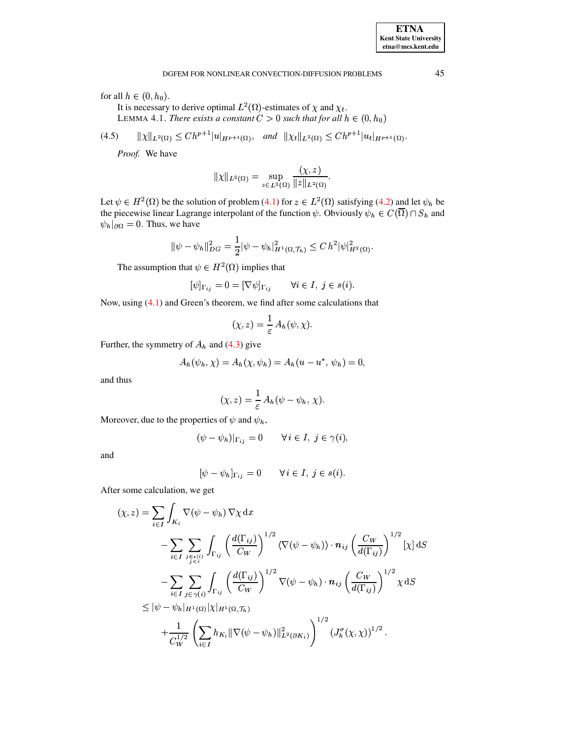#### DGFEM FOR NONLINEAR CONVECTION-DIFFUSION PROBLEMS

for all  $h \in (0, h_0)$ .

It is necessary to derive optimal  $L^2(\Omega)$ -estimates of  $\chi$  and  $\chi_t$ . LEMMA 4.1. There exists a constant  $C > 0$  such that for all  $h \in (0, h_0)$ 

$$
(4.5) \qquad \|\chi\|_{L^2(\Omega)} \le Ch^{p+1} |u|_{H^{p+1}(\Omega)}, \quad \text{and} \quad \|\chi_t\|_{L^2(\Omega)} \le Ch^{p+1} |u_t|_{H^{p+1}(\Omega)}.
$$

Proof. We have

<span id="page-12-1"></span><span id="page-12-0"></span>
$$
|\chi||_{L^2(\Omega)} = \sup_{z \in L^2(\Omega)} \frac{(\chi, z)}{\|z\|_{L^2(\Omega)}}.
$$

Let  $\psi \in H^2(\Omega)$  be the solution of problem (4.1) for  $z \in L^2(\Omega)$  satisfying (4.2) and let  $\psi_h$  be the piecewise linear Lagrange interpolant of the function  $\psi$ . Obviously  $\psi_h \in C(\overline{\Omega}) \cap S_h$  and  $\psi_h|_{\partial\Omega} = 0$ . Thus, we have

$$
\|\psi - \psi_h\|_{DG}^2 = \frac{1}{2}|\psi - \psi_h|_{H^1(\Omega, \mathcal{T}_h)}^2 \leq C h^2 |\psi|_{H^2(\Omega)}^2.
$$

The assumption that  $\psi \in H^2(\Omega)$  implies that

$$
[\psi]_{\Gamma_{ij}} = 0 = [\nabla \psi]_{\Gamma_{ij}} \qquad \forall i \in I, j \in s(i).
$$

Now, using (4.1) and Green's theorem, we find after some calculations that

$$
(\chi, z) = \frac{1}{\varepsilon} A_h(\psi, \chi).
$$

Further, the symmetry of  $A_h$  and (4.3) give

$$
A_h(\psi_h, \chi) = A_h(\chi, \psi_h) = A_h(u - u^*, \psi_h) = 0,
$$

and thus

$$
(\chi, z) = \frac{1}{\varepsilon} A_h(\psi - \psi_h, \chi).
$$

Moreover, due to the properties of  $\psi$  and  $\psi_h$ ,

$$
(\psi - \psi_h)|_{\Gamma_{ij}} = 0 \quad \forall i \in I, j \in \gamma(i),
$$

and

$$
[\psi - \psi_h]_{\Gamma_{ij}} = 0 \quad \forall i \in I, j \in s(i).
$$

After some calculation, we get

$$
(\chi, z) = \sum_{i \in I} \int_{K_i} \nabla(\psi - \psi_h) \nabla \chi \, dx
$$
  
\n
$$
- \sum_{i \in I} \sum_{j \in s(i) \atop j < i} \int_{\Gamma_{ij}} \left(\frac{d(\Gamma_{ij})}{C_W}\right)^{1/2} \langle \nabla(\psi - \psi_h) \rangle \cdot \mathbf{n}_{ij} \left(\frac{C_W}{d(\Gamma_{ij})}\right)^{1/2} [\chi] \, dS
$$
  
\n
$$
- \sum_{i \in I} \sum_{j \in \gamma(i)} \int_{\Gamma_{ij}} \left(\frac{d(\Gamma_{ij})}{C_W}\right)^{1/2} \nabla(\psi - \psi_h) \cdot \mathbf{n}_{ij} \left(\frac{C_W}{d(\Gamma_{ij})}\right)^{1/2} \chi \, dS
$$
  
\n
$$
\leq |\psi - \psi_h|_{H^1(\Omega)} |\chi|_{H^1(\Omega, \mathcal{T}_h)}
$$
  
\n
$$
+ \frac{1}{C_W^{1/2}} \left(\sum_{i \in I} h_{K_i} \|\nabla(\psi - \psi_h)\|_{L^2(\partial K_i)}^2\right)^{1/2} (J_h^{\sigma}(\chi, \chi))^{1/2}.
$$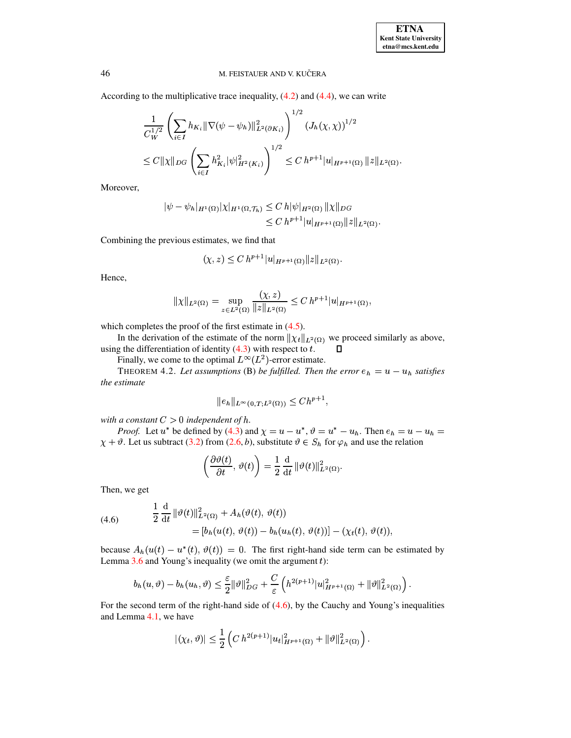According to the multiplicative trace inequality,  $(4.2)$  and  $(4.4)$ , we can write

$$
\frac{1}{C_W^{1/2}} \left( \sum_{i \in I} h_{K_i} \|\nabla(\psi - \psi_h)\|_{L^2(\partial K_i)}^2 \right)^{1/2} (J_h(\chi, \chi))^{1/2}
$$
  

$$
\leq C \|\chi\|_{DG} \left( \sum_{i \in I} h_{K_i}^2 |\psi|_{H^2(K_i)}^2 \right)^{1/2} \leq C h^{p+1} |u|_{H^{p+1}(\Omega)} \|z\|_{L^2(\Omega)}.
$$

Moreover,

$$
\begin{aligned} |\psi - \psi_h|_{H^1(\Omega)} |\chi|_{H^1(\Omega, \mathcal{T}_h)} &\leq C \, h |\psi|_{H^2(\Omega)} \, \|\chi\|_{DG} \\ &\leq C \, h^{p+1} |u|_{H^{p+1}(\Omega)} \|z\|_{L^2(\Omega)} .\end{aligned}
$$

Combining the previous estimates, we find that

$$
(\chi, z) \leq C \, h^{p+1} |u|_{H^{p+1}(\Omega)} ||z||_{L^2(\Omega)}.
$$

Hence,

$$
\|\chi\|_{L^2(\Omega)} = \sup_{z \in L^2(\Omega)} \frac{(\chi, z)}{\|z\|_{L^2(\Omega)}} \le C h^{p+1} |u|_{H^{p+1}(\Omega)},
$$

which completes the proof of the first estimate in  $(4.5)$ .

In the derivation of the estimate of the norm  $\|\chi_t\|_{L^2(\Omega)}$  we proceed similarly as above, using the differentiation of identity  $(4.3)$  with respect to t. П

Finally, we come to the optimal  $L^{\infty}(L^2)$ -error estimate.

THEOREM 4.2. Let assumptions (B) be fulfilled. Then the error  $e_h = u - u_h$  satisfies the estimate

$$
||e_h||_{L^{\infty}(0,T;L^2(\Omega))} \le Ch^{p+1},
$$

with a constant  $C > 0$  independent of h.

*Proof.* Let  $u^*$  be defined by (4.3) and  $\chi = u - u^*$ ,  $\vartheta = u^* - u_h$ . Then  $e_h = u - u_h =$  $\chi + \vartheta$ . Let us subtract (3.2) from (2.6, b), substitute  $\vartheta \in S_h$  for  $\varphi_h$  and use the relation

$$
\left(\frac{\partial \vartheta(t)}{\partial t}, \vartheta(t)\right) = \frac{1}{2} \frac{\mathrm{d}}{\mathrm{d}t} ||\vartheta(t)||_{L^2(\Omega)}^2
$$

<span id="page-13-0"></span>Then, we get

(4.6) 
$$
\frac{1}{2} \frac{d}{dt} ||\vartheta(t)||_{L^{2}(\Omega)}^{2} + A_{h}(\vartheta(t), \vartheta(t))
$$

$$
= [b_{h}(u(t), \vartheta(t)) - b_{h}(u_{h}(t), \vartheta(t))] - (\chi_{t}(t), \vartheta(t))
$$

because  $A_h(u(t) - u^*(t), \vartheta(t)) = 0$ . The first right-hand side term can be estimated by Lemma  $3.6$  and Young's inequality (we omit the argument  $t$ ):

$$
b_h(u, \vartheta) - b_h(u_h, \vartheta) \leq \frac{\varepsilon}{2} ||\vartheta||^2_{DG} + \frac{C}{\varepsilon} \left( h^{2(p+1)} |u|^2_{H^{p+1}(\Omega)} + ||\vartheta||^2_{L^2(\Omega)} \right).
$$

For the second term of the right-hand side of  $(4.6)$ , by the Cauchy and Young's inequalities and Lemma 4.1, we have

$$
|(\chi_t, \vartheta)| \leq \frac{1}{2} \left( C h^{2(p+1)} |u_t|^2_{H^{p+1}(\Omega)} + ||\vartheta||^2_{L^2(\Omega)} \right).
$$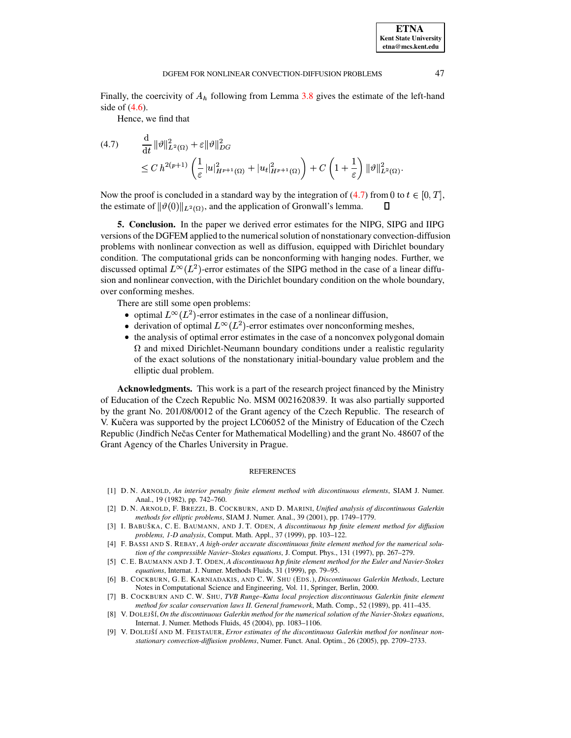Finally, the coercivity of  $A_h$  following from Lemma [3.8](#page-10-0) gives the estimate of the left-hand side of [\(4.6\)](#page-13-0).

Hence, we find that

<span id="page-14-9"></span>
$$
(4.7) \qquad \frac{\mathrm{d}}{\mathrm{d}t} \|\vartheta\|_{L^2(\Omega)}^2 + \varepsilon \|\vartheta\|_{DG}^2
$$
\n
$$
\leq C \, h^{2(p+1)} \left( \frac{1}{\varepsilon} |u|_{H^{p+1}(\Omega)}^2 + |u_t|_{H^{p+1}(\Omega)}^2 \right) + C \left( 1 + \frac{1}{\varepsilon} \right) \|\vartheta\|_{L^2(\Omega)}^2.
$$

Now the proof is concluded in a standard way by the integration of [\(4.7\)](#page-14-9) from 0 to  $t \in [0, T]$ , the estimate of  $\|\vartheta(0)\|_{L^2(\Omega)}$ , and the application of Gronwall's lemma.

**5. Conclusion.** In the paper we derived error estimates for the NIPG, SIPG and IIPG versions of the DGFEM applied to the numericalsolution of nonstationary convection-diffusion problems with nonlinear convection as well as diffusion, equipped with Dirichlet boundary condition. The computational grids can be nonconforming with hanging nodes. Further, we discussed optimal  $L^{\infty}(L^2)$ -error estimates of the SIPG method in the case of a linear diffusion and nonlinear convection, with the Dirichlet boundary condition on the whole boundary, over conforming meshes.

There are still some open problems:

- optimal  $L^{\infty}(L^2)$ -error estimates in the case of a nonlinear diffusion,
- derivation of optimal  $L^{\infty}(L^2)$ -error estimates over nonconforming meshes,
- @ the analysis of optimal error estimates in the case of a nonconvex polygonal domain  $\Omega$  and mixed Dirichlet-Neumann boundary conditions under a realistic regularity of the exact solutions of the nonstationary initial-boundary value problem and the elliptic dual problem.

**Acknowledgments.** This work is a part of the research project financed by the Ministry of Education of the Czech Republic No. MSM 0021620839. It was also partially supported by the grant No. 201/08/0012 of the Grant agency of the Czech Republic. The research of V. Kučera was supported by the project LC06052 of the Ministry of Education of the Czech Republic (Jindřich Nečas Center for Mathematical Modelling) and the grant No. 48607 of the Grant Agency of the Charles University in Prague.

## REFERENCES

- <span id="page-14-0"></span>[1] D. N. ARNOLD, *An interior penalty finite element method with discontinuous elements*, SIAM J. Numer. Anal., 19 (1982), pp. 742–760.
- <span id="page-14-1"></span>[2] D. N. ARNOLD, F. BREZZI, B. COCKBURN, AND D. MARINI, *Unified analysis of discontinuous Galerkin methods for elliptic problems*, SIAM J. Numer. Anal., 39 (2001), pp. 1749–1779.
- <span id="page-14-2"></span>[3] I. BABUŠKA, C. E. BAUMANN, AND J. T. ODEN, *A discontinuous hp finite element method for diffusion problems, 1-D analysis*, Comput. Math. Appl., 37 (1999), pp. 103–122.
- <span id="page-14-4"></span>[4] F. BASSI AND S. REBAY, *A high-order accurate discontinuous finite element method for the numerical solution of the compressible Navier–Stokes equations*, J. Comput. Phys., 131 (1997), pp. 267–279.
- <span id="page-14-5"></span>[5] C. E. BAUMANN AND J. T. ODEN, A discontinuous hp finite element method for the Euler and Navier-Stokes *equations*, Internat. J. Numer. Methods Fluids, 31 (1999), pp. 79–95.
- <span id="page-14-7"></span>[6] B. COCKBURN, G. E. KARNIADAKIS, AND C. W. SHU (EDS.), *Discontinuous Galerkin Methods*, Lecture Notes in Computational Science and Engineering, Vol. 11, Springer, Berlin, 2000.
- <span id="page-14-3"></span>[7] B. COCKBURN AND C. W. SHU, *TVB Runge–Kutta local projection discontinuous Galerkin finite element method for scalar conservation laws II. General framework*, Math. Comp., 52 (1989), pp. 411–435.
- <span id="page-14-8"></span><span id="page-14-6"></span>[8] V. DOLEJSˇ´I,*On the discontinuous Galerkin method for the numerical solution of the Navier-Stokes equations*, Internat. J. Numer. Methods Fluids, 45 (2004), pp. 1083–1106.
- [9] V. DOLEJSˇ´I AND M. FEISTAUER, *Error estimates of the discontinuous Galerkin method for nonlinear nonstationary convection-diffusion problems*, Numer. Funct. Anal. Optim., 26 (2005), pp. 2709–2733.

**ETNA Kent State University etna@mcs.kent.edu**